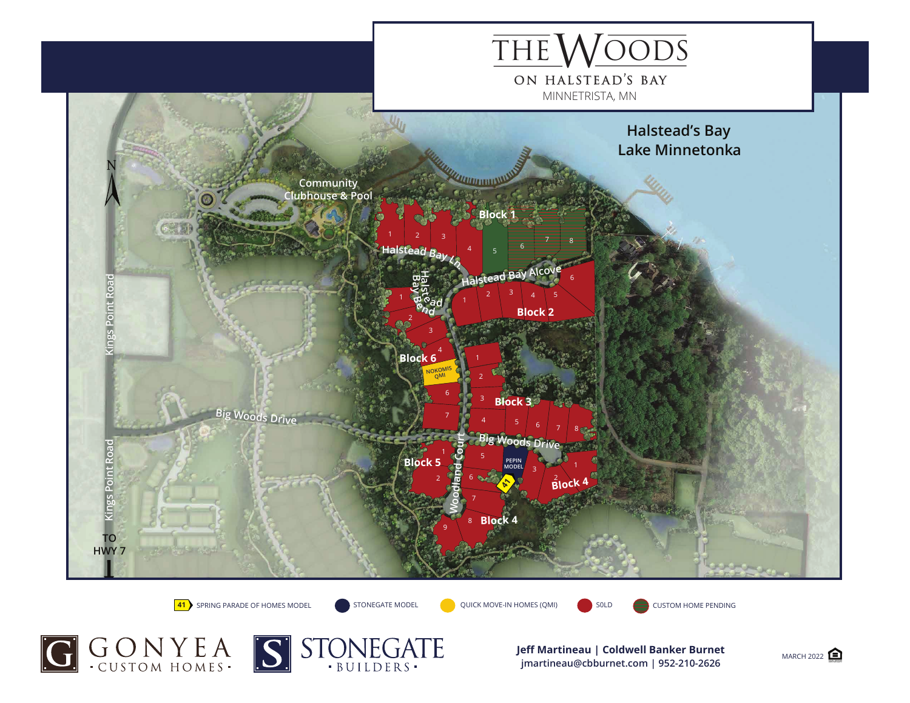

**41** SPRING PARADE OF HOMES MODEL

STONEGATE MODEL QUICK MOVE-IN HOMES (QMI) SOLD CUSTOM HOME PENDING





**Jeff Martineau | Coldwell Banker Burnet** MARCH 2022 **jmartineau@cbburnet.com | 952-210-2626**